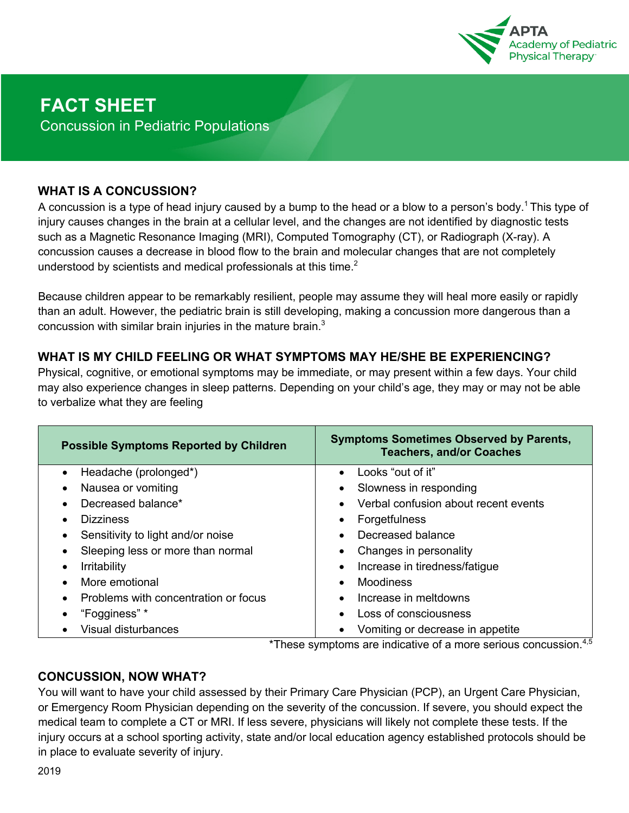

#### **WHAT IS A CONCUSSION?**

A concussion is a type of head injury caused by a bump to the head or a blow to a person's body.<sup>1</sup> This type of injury causes changes in the brain at a cellular level, and the changes are not identified by diagnostic tests such as a Magnetic Resonance Imaging (MRI), Computed Tomography (CT), or Radiograph (X-ray). A concussion causes a decrease in blood flow to the brain and molecular changes that are not completely understood by scientists and medical professionals at this time. $2$ 

Because children appear to be remarkably resilient, people may assume they will heal more easily or rapidly than an adult. However, the pediatric brain is still developing, making a concussion more dangerous than a concussion with similar brain injuries in the mature brain. $3$ 

### **WHAT IS MY CHILD FEELING OR WHAT SYMPTOMS MAY HE/SHE BE EXPERIENCING?**

Physical, cognitive, or emotional symptoms may be immediate, or may present within a few days. Your child may also experience changes in sleep patterns. Depending on your child's age, they may or may not be able to verbalize what they are feeling

| <b>Possible Symptoms Reported by Children</b>     | <b>Symptoms Sometimes Observed by Parents,</b><br><b>Teachers, and/or Coaches</b> |
|---------------------------------------------------|-----------------------------------------------------------------------------------|
| Headache (prolonged*)<br>$\bullet$                | Looks "out of it"<br>$\bullet$                                                    |
| Nausea or vomiting<br>$\bullet$                   | Slowness in responding                                                            |
| Decreased balance*<br>$\bullet$                   | Verbal confusion about recent events                                              |
| <b>Dizziness</b><br>$\bullet$                     | Forgetfulness                                                                     |
| Sensitivity to light and/or noise<br>$\bullet$    | Decreased balance                                                                 |
| Sleeping less or more than normal                 | Changes in personality                                                            |
| <b>Irritability</b><br>$\bullet$                  | Increase in tiredness/fatigue                                                     |
| More emotional<br>$\bullet$                       | Moodiness                                                                         |
| Problems with concentration or focus<br>$\bullet$ | Increase in meltdowns                                                             |
| "Fogginess" *                                     | Loss of consciousness                                                             |
| Visual disturbances                               | Vomiting or decrease in appetite                                                  |

\*These symptoms are indicative of a more serious concussion.<sup>4,5</sup>

### **CONCUSSION, NOW WHAT?**

You will want to have your child assessed by their Primary Care Physician (PCP), an Urgent Care Physician, or Emergency Room Physician depending on the severity of the concussion. If severe, you should expect the medical team to complete a CT or MRI. If less severe, physicians will likely not complete these tests. If the injury occurs at a school sporting activity, state and/or local education agency established protocols should be in place to evaluate severity of injury.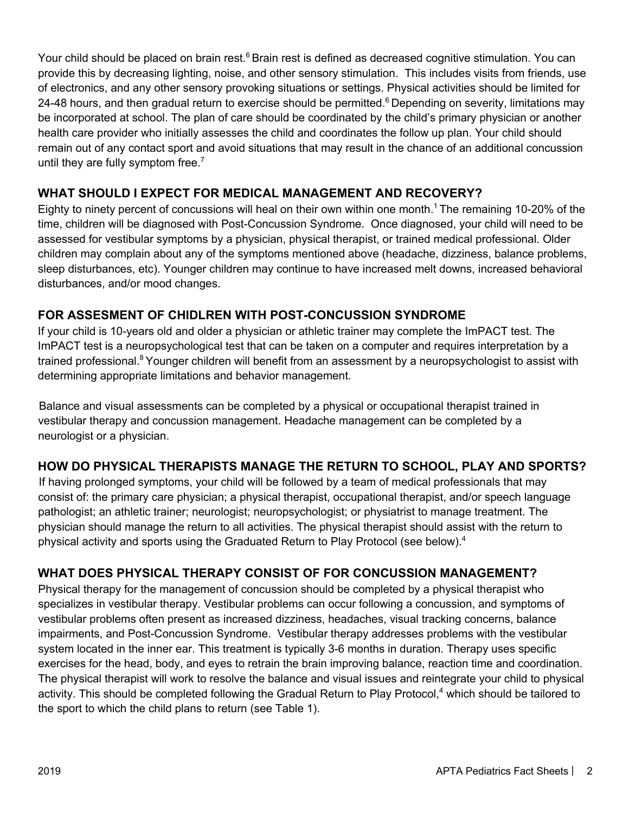Your child should be placed on brain rest.<sup>6</sup> Brain rest is defined as decreased cognitive stimulation. You can provide this by decreasing lighting, noise, and other sensory stimulation. This includes visits from friends, use of electronics, and any other sensory provoking situations or settings. Physical activities should be limited for 24-48 hours, and then gradual return to exercise should be permitted.<sup>6</sup> Depending on severity, limitations may be incorporated at school. The plan of care should be coordinated by the child's primary physician or another health care provider who initially assesses the child and coordinates the follow up plan. Your child should remain out of any contact sport and avoid situations that may result in the chance of an additional concussion until they are fully symptom free. $<sup>7</sup>$ </sup>

## **WHAT SHOULD I EXPECT FOR MEDICAL MANAGEMENT AND RECOVERY?**

Eighty to ninety percent of concussions will heal on their own within one month.<sup>1</sup> The remaining 10-20% of the time, children will be diagnosed with Post-Concussion Syndrome. Once diagnosed, your child will need to be assessed for vestibular symptoms by a physician, physical therapist, or trained medical professional. Older children may complain about any of the symptoms mentioned above (headache, dizziness, balance problems, sleep disturbances, etc). Younger children may continue to have increased melt downs, increased behavioral disturbances, and/or mood changes.

# **FOR ASSESMENT OF CHIDLREN WITH POST-CONCUSSION SYNDROME**

If your child is 10-years old and older a physician or athletic trainer may complete the ImPACT test. The ImPACT test is a neuropsychological test that can be taken on a computer and requires interpretation by a trained professional.<sup>8</sup> Younger children will benefit from an assessment by a neuropsychologist to assist with determining appropriate limitations and behavior management.

Balance and visual assessments can be completed by a physical or occupational therapist trained in vestibular therapy and concussion management. Headache management can be completed by a neurologist or a physician.

### **HOW DO PHYSICAL THERAPISTS MANAGE THE RETURN TO SCHOOL, PLAY AND SPORTS?**

If having prolonged symptoms, your child will be followed by a team of medical professionals that may consist of: the primary care physician; a physical therapist, occupational therapist, and/or speech language pathologist; an athletic trainer; neurologist; neuropsychologist; or physiatrist to manage treatment. The physician should manage the return to all activities. The physical therapist should assist with the return to physical activity and sports using the Graduated Return to Play Protocol (see below).<sup>4</sup>

# **WHAT DOES PHYSICAL THERAPY CONSIST OF FOR CONCUSSION MANAGEMENT?**

Physical therapy for the management of concussion should be completed by a physical therapist who specializes in vestibular therapy. Vestibular problems can occur following a concussion, and symptoms of vestibular problems often present as increased dizziness, headaches, visual tracking concerns, balance impairments, and Post-Concussion Syndrome. Vestibular therapy addresses problems with the vestibular system located in the inner ear. This treatment is typically 3-6 months in duration. Therapy uses specific exercises for the head, body, and eyes to retrain the brain improving balance, reaction time and coordination. The physical therapist will work to resolve the balance and visual issues and reintegrate your child to physical activity. This should be completed following the Gradual Return to Play Protocol,<sup>4</sup> which should be tailored to the sport to which the child plans to return (see Table 1).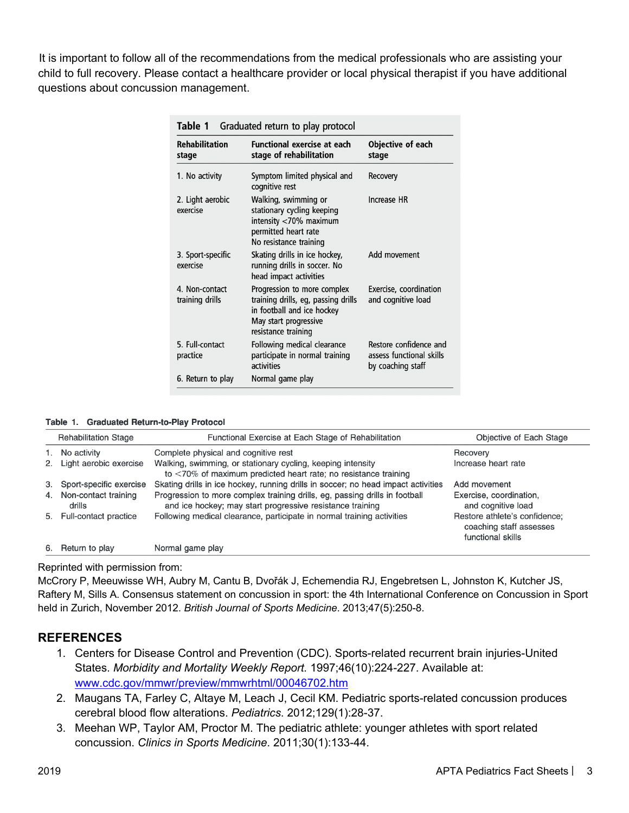It is important to follow all of the recommendations from the medical professionals who are assisting your child to full recovery. Please contact a healthcare provider or local physical therapist if you have additional questions about concussion management.

| Table 1<br>Graduated return to play protocol |                                                                                                                                                  |                                                                         |  |  |  |
|----------------------------------------------|--------------------------------------------------------------------------------------------------------------------------------------------------|-------------------------------------------------------------------------|--|--|--|
| <b>Rehabilitation</b><br>stage               | <b>Functional exercise at each</b><br>stage of rehabilitation                                                                                    | Objective of each<br>stage                                              |  |  |  |
| 1. No activity                               | Symptom limited physical and<br>cognitive rest                                                                                                   | Recovery                                                                |  |  |  |
| 2. Light aerobic<br>exercise                 | Walking, swimming or<br>stationary cycling keeping<br>intensity <70% maximum<br>permitted heart rate<br>No resistance training                   | Increase HR                                                             |  |  |  |
| 3. Sport-specific<br>exercise                | Skating drills in ice hockey,<br>running drills in soccer. No<br>head impact activities                                                          | Add movement                                                            |  |  |  |
| 4. Non-contact<br>training drills            | Progression to more complex<br>training drills, eg, passing drills<br>in football and ice hockey<br>May start progressive<br>resistance training | Exercise, coordination<br>and cognitive load                            |  |  |  |
| 5. Full-contact<br>practice                  | Following medical clearance<br>participate in normal training<br>activities                                                                      | Restore confidence and<br>assess functional skills<br>by coaching staff |  |  |  |
| 6. Return to play                            | Normal game play                                                                                                                                 |                                                                         |  |  |  |

Table 1. Graduated Return-to-Play Protocol

|    | <b>Rehabilitation Stage</b>    | Functional Exercise at Each Stage of Rehabilitation                                                                                      | Objective of Each Stage                                                       |
|----|--------------------------------|------------------------------------------------------------------------------------------------------------------------------------------|-------------------------------------------------------------------------------|
| 1. | No activity                    | Complete physical and cognitive rest                                                                                                     | Recovery                                                                      |
| 2. | Light aerobic exercise         | Walking, swimming, or stationary cycling, keeping intensity<br>to $\langle 70\%$ of maximum predicted heart rate; no resistance training | Increase heart rate                                                           |
| 3. | Sport-specific exercise        | Skating drills in ice hockey, running drills in soccer; no head impact activities                                                        | Add movement                                                                  |
| 4. | Non-contact training<br>drills | Progression to more complex training drills, eg, passing drills in football<br>and ice hockey; may start progressive resistance training | Exercise, coordination,<br>and cognitive load                                 |
|    | 5. Full-contact practice       | Following medical clearance, participate in normal training activities                                                                   | Restore athlete's confidence;<br>coaching staff assesses<br>functional skills |
|    | 6. Return to play              | Normal game play                                                                                                                         |                                                                               |

#### Reprinted with permission from:

McCrory P, Meeuwisse WH, Aubry M, Cantu B, Dvořák J, Echemendia RJ, Engebretsen L, Johnston K, Kutcher JS, Raftery M, Sills A. Consensus statement on concussion in sport: the 4th International Conference on Concussion in Sport held in Zurich, November 2012. *British Journal of Sports Medicine*. 2013;47(5):250-8.

### **REFERENCES**

- 1. Centers for Disease Control and Prevention (CDC). Sports-related recurrent brain injuries-United States. *Morbidity and Mortality Weekly Report.* 1997;46(10):224-227. Available at: www.cdc.gov/mmwr/preview/mmwrhtml/00046702.htm
- 2. Maugans TA, Farley C, Altaye M, Leach J, Cecil KM. Pediatric sports-related concussion produces cerebral blood flow alterations. *Pediatrics*. 2012;129(1):28-37.
- 3. Meehan WP, Taylor AM, Proctor M. The pediatric athlete: younger athletes with sport related concussion. *Clinics in Sports Medicine*. 2011;30(1):133-44.